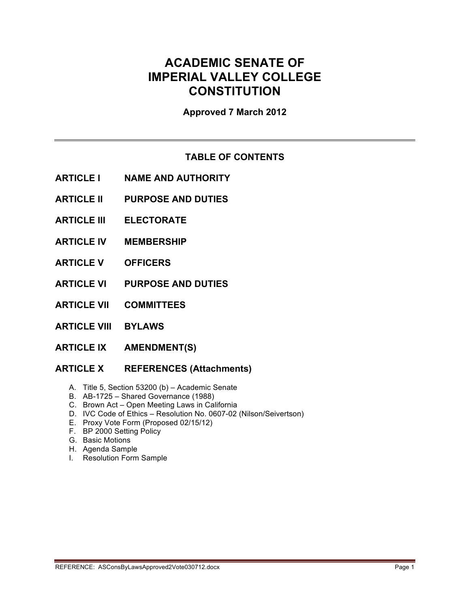# **ACADEMIC SENATE OF IMPERIAL VALLEY COLLEGE CONSTITUTION**

**Approved 7 March 2012**

## **TABLE OF CONTENTS**

- **ARTICLE I NAME AND AUTHORITY**
- **ARTICLE II PURPOSE AND DUTIES**
- **ARTICLE III ELECTORATE**
- **ARTICLE IV MEMBERSHIP**
- **ARTICLE V OFFICERS**
- **ARTICLE VI PURPOSE AND DUTIES**
- **ARTICLE VII COMMITTEES**
- **ARTICLE VIII BYLAWS**
- **ARTICLE IX AMENDMENT(S)**

## **ARTICLE X REFERENCES (Attachments)**

- A. Title 5, Section 53200 (b) Academic Senate
- B. AB-1725 Shared Governance (1988)
- C. Brown Act Open Meeting Laws in California
- D. IVC Code of Ethics Resolution No. 0607-02 (Nilson/Seivertson)
- E. Proxy Vote Form (Proposed 02/15/12)
- F. BP 2000 Setting Policy
- G. Basic Motions
- H. Agenda Sample
- I. Resolution Form Sample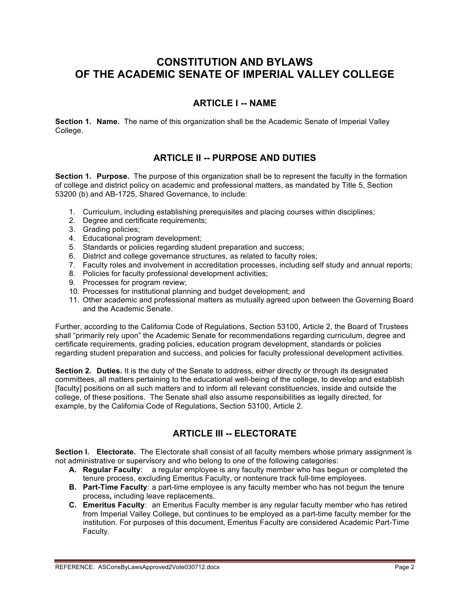## **CONSTITUTION AND BYLAWS OF THE ACADEMIC SENATE OF IMPERIAL VALLEY COLLEGE**

## **ARTICLE I -- NAME**

**Section 1. Name.** The name of this organization shall be the Academic Senate of Imperial Valley College.

## **ARTICLE II -- PURPOSE AND DUTIES**

**Section 1. Purpose.** The purpose of this organization shall be to represent the faculty in the formation of college and district policy on academic and professional matters, as mandated by Title 5, Section 53200 (b) and AB-1725, Shared Governance, to include:

- 1. Curriculum, including establishing prerequisites and placing courses within disciplines;
- 2. Degree and certificate requirements:
- 3. Grading policies;
- 4. Educational program development;
- 5. Standards or policies regarding student preparation and success;
- 6. District and college governance structures, as related to faculty roles;
- 7. Faculty roles and involvement in accreditation processes, including self study and annual reports;
- 8. Policies for faculty professional development activities;
- 9. Processes for program review;
- 10. Processes for institutional planning and budget development; and
- 11. Other academic and professional matters as mutually agreed upon between the Governing Board and the Academic Senate.

Further, according to the California Code of Regulations, Section 53100, Article 2, the Board of Trustees shall "primarily rely upon" the Academic Senate for recommendations regarding curriculum, degree and certificate requirements, grading policies, education program development, standards or policies regarding student preparation and success, and policies for faculty professional development activities.

**Section 2. Duties.** It is the duty of the Senate to address, either directly or through its designated committees, all matters pertaining to the educational well-being of the college, to develop and establish [faculty] positions on all such matters and to inform all relevant constituencies, inside and outside the college, of these positions. The Senate shall also assume responsibilities as legally directed, for example, by the California Code of Regulations, Section 53100, Article 2.

## **ARTICLE III -- ELECTORATE**

**Section l. Electorate.** The Electorate shall consist of all faculty members whose primary assignment is not administrative or supervisory and who belong to one of the following categories:

- **A. Regular Faculty**: a regular employee is any faculty member who has begun or completed the tenure process, excluding Emeritus Faculty, or nontenure track full-time employees.
- **B. Part-Time Faculty**: a part-time employee is any faculty member who has not begun the tenure process*,* including leave replacements.
- **C. Emeritus Faculty**: an Emeritus Faculty member is any regular faculty member who has retired from Imperial Valley College, but continues to be employed as a part-time faculty member for the institution. For purposes of this document, Emeritus Faculty are considered Academic Part-Time Faculty.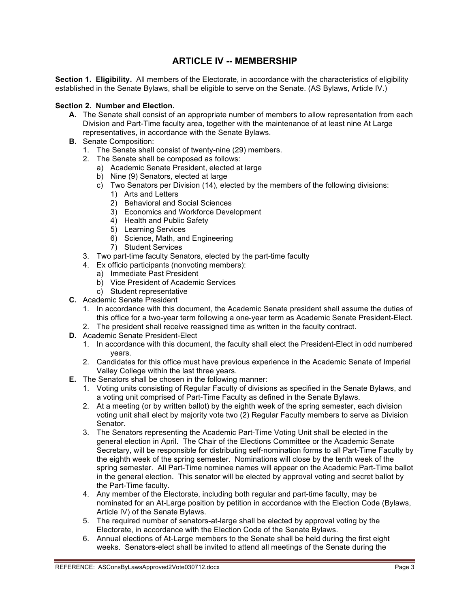## **ARTICLE IV -- MEMBERSHIP**

**Section 1. Eligibility.** All members of the Electorate, in accordance with the characteristics of eligibility established in the Senate Bylaws, shall be eligible to serve on the Senate. (AS Bylaws, Article IV.)

### **Section 2. Number and Election.**

- **A.** The Senate shall consist of an appropriate number of members to allow representation from each Division and Part-Time faculty area, together with the maintenance of at least nine At Large representatives, in accordance with the Senate Bylaws.
- **B.** Senate Composition:
	- 1. The Senate shall consist of twenty-nine (29) members.
	- 2. The Senate shall be composed as follows:
		- a) Academic Senate President, elected at large
		- b) Nine (9) Senators, elected at large
		- c) Two Senators per Division (14), elected by the members of the following divisions:
			- 1) Arts and Letters
			- 2) Behavioral and Social Sciences
			- 3) Economics and Workforce Development
			- 4) Health and Public Safety
			- 5) Learning Services
			- 6) Science, Math, and Engineering
			- 7) Student Services
	- 3. Two part-time faculty Senators, elected by the part-time faculty
	- 4. Ex officio participants (nonvoting members):
		- a) Immediate Past President
		- b) Vice President of Academic Services
	- c) Student representative
- **C.** Academic Senate President
	- 1. In accordance with this document, the Academic Senate president shall assume the duties of this office for a two-year term following a one-year term as Academic Senate President-Elect.
	- 2. The president shall receive reassigned time as written in the faculty contract.
- **D.** Academic Senate President-Elect
	- 1. In accordance with this document, the faculty shall elect the President-Elect in odd numbered years.
	- 2. Candidates for this office must have previous experience in the Academic Senate of Imperial Valley College within the last three years.
- **E.** The Senators shall be chosen in the following manner:
	- 1. Voting units consisting of Regular Faculty of divisions as specified in the Senate Bylaws, and a voting unit comprised of Part-Time Faculty as defined in the Senate Bylaws.
	- 2. At a meeting (or by written ballot) by the eighth week of the spring semester, each division voting unit shall elect by majority vote two (2) Regular Faculty members to serve as Division Senator.
	- 3. The Senators representing the Academic Part-Time Voting Unit shall be elected in the general election in April. The Chair of the Elections Committee or the Academic Senate Secretary, will be responsible for distributing self-nomination forms to all Part-Time Faculty by the eighth week of the spring semester. Nominations will close by the tenth week of the spring semester. All Part-Time nominee names will appear on the Academic Part-Time ballot in the general election. This senator will be elected by approval voting and secret ballot by the Part-Time faculty.
	- 4. Any member of the Electorate, including both regular and part-time faculty, may be nominated for an At-Large position by petition in accordance with the Election Code (Bylaws, Article IV) of the Senate Bylaws.
	- 5. The required number of senators-at-large shall be elected by approval voting by the Electorate, in accordance with the Election Code of the Senate Bylaws.
	- 6. Annual elections of At-Large members to the Senate shall be held during the first eight weeks. Senators-elect shall be invited to attend all meetings of the Senate during the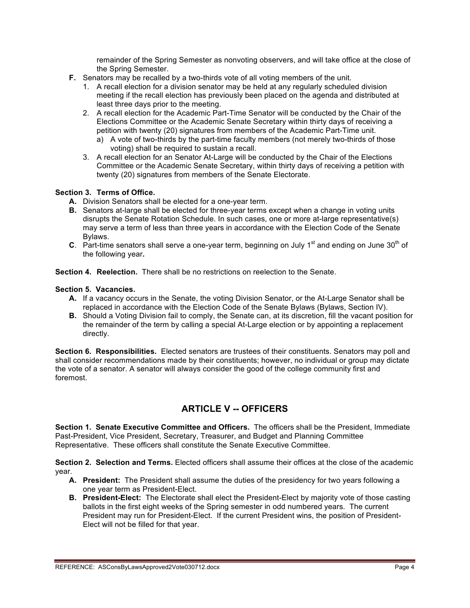remainder of the Spring Semester as nonvoting observers, and will take office at the close of the Spring Semester.

- **F.** Senators may be recalled by a two-thirds vote of all voting members of the unit.
	- 1. A recall election for a division senator may be held at any regularly scheduled division meeting if the recall election has previously been placed on the agenda and distributed at least three days prior to the meeting.
	- 2. A recall election for the Academic Part-Time Senator will be conducted by the Chair of the Elections Committee or the Academic Senate Secretary within thirty days of receiving a petition with twenty (20) signatures from members of the Academic Part-Time unit.
		- a) A vote of two-thirds by the part-time faculty members (not merely two-thirds of those voting) shall be required to sustain a recall.
	- 3. A recall election for an Senator At-Large will be conducted by the Chair of the Elections Committee or the Academic Senate Secretary, within thirty days of receiving a petition with twenty (20) signatures from members of the Senate Electorate.

### **Section 3. Terms of Office.**

- **A.** Division Senators shall be elected for a one-year term.
- **B.** Senators at-large shall be elected for three-year terms except when a change in voting units disrupts the Senate Rotation Schedule. In such cases, one or more at-large representative(s) may serve a term of less than three years in accordance with the Election Code of the Senate Bylaws.
- **C**. Part-time senators shall serve a one-year term, beginning on July 1<sup>st</sup> and ending on June 30<sup>th</sup> of the following year**.**

**Section 4. Reelection.** There shall be no restrictions on reelection to the Senate.

### **Section 5. Vacancies.**

- **A.** If a vacancy occurs in the Senate, the voting Division Senator, or the At-Large Senator shall be replaced in accordance with the Election Code of the Senate Bylaws (Bylaws, Section IV).
- **B.** Should a Voting Division fail to comply, the Senate can, at its discretion, fill the vacant position for the remainder of the term by calling a special At-Large election or by appointing a replacement directly.

**Section 6. Responsibilities.** Elected senators are trustees of their constituents. Senators may poll and shall consider recommendations made by their constituents; however, no individual or group may dictate the vote of a senator. A senator will always consider the good of the college community first and foremost.

## **ARTICLE V -- OFFICERS**

**Section 1. Senate Executive Committee and Officers.** The officers shall be the President, Immediate Past-President, Vice President, Secretary, Treasurer, and Budget and Planning Committee Representative. These officers shall constitute the Senate Executive Committee.

**Section 2. Selection and Terms.** Elected officers shall assume their offices at the close of the academic year.

- **A. President:** The President shall assume the duties of the presidency for two years following a one year term as President-Elect.
- **B.** President-Elect: The Electorate shall elect the President-Elect by majority vote of those casting ballots in the first eight weeks of the Spring semester in odd numbered years. The current President may run for President-Elect. If the current President wins, the position of President-Elect will not be filled for that year.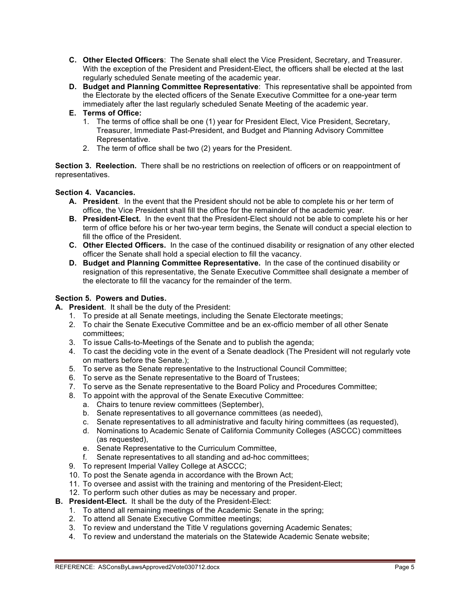- **C. Other Elected Officers**: The Senate shall elect the Vice President, Secretary, and Treasurer. With the exception of the President and President-Elect, the officers shall be elected at the last regularly scheduled Senate meeting of the academic year.
- **D. Budget and Planning Committee Representative**: This representative shall be appointed from the Electorate by the elected officers of the Senate Executive Committee for a one-year term immediately after the last regularly scheduled Senate Meeting of the academic year.

## **E. Terms of Office:**

- 1. The terms of office shall be one (1) year for President Elect, Vice President, Secretary, Treasurer, Immediate Past-President, and Budget and Planning Advisory Committee Representative.
- 2. The term of office shall be two (2) years for the President.

**Section 3. Reelection.** There shall be no restrictions on reelection of officers or on reappointment of representatives.

## **Section 4. Vacancies.**

- **A. President**. In the event that the President should not be able to complete his or her term of office, the Vice President shall fill the office for the remainder of the academic year.
- **B. President-Elect.** In the event that the President-Elect should not be able to complete his or her term of office before his or her two-year term begins, the Senate will conduct a special election to fill the office of the President.
- **C. Other Elected Officers.** In the case of the continued disability or resignation of any other elected officer the Senate shall hold a special election to fill the vacancy.
- **D. Budget and Planning Committee Representative.** In the case of the continued disability or resignation of this representative, the Senate Executive Committee shall designate a member of the electorate to fill the vacancy for the remainder of the term.

## **Section 5. Powers and Duties.**

- **A. President**. It shall be the duty of the President:
	- 1. To preside at all Senate meetings, including the Senate Electorate meetings;
	- 2. To chair the Senate Executive Committee and be an ex-officio member of all other Senate committees;
	- 3. To issue Calls-to-Meetings of the Senate and to publish the agenda;
	- 4. To cast the deciding vote in the event of a Senate deadlock (The President will not regularly vote on matters before the Senate.);
	- 5. To serve as the Senate representative to the Instructional Council Committee;
	- 6. To serve as the Senate representative to the Board of Trustees;
	- 7. To serve as the Senate representative to the Board Policy and Procedures Committee;
	- 8. To appoint with the approval of the Senate Executive Committee:
		- a. Chairs to tenure review committees (September),
		- b. Senate representatives to all governance committees (as needed),
		- c. Senate representatives to all administrative and faculty hiring committees (as requested),
		- d. Nominations to Academic Senate of California Community Colleges (ASCCC) committees (as requested),
		- e. Senate Representative to the Curriculum Committee,
		- f. Senate representatives to all standing and ad-hoc committees;
	- 9. To represent Imperial Valley College at ASCCC;
	- 10. To post the Senate agenda in accordance with the Brown Act;
	- 11. To oversee and assist with the training and mentoring of the President-Elect;
	- 12. To perform such other duties as may be necessary and proper.
- **B. President-Elect.** It shall be the duty of the President-Elect:
	- 1. To attend all remaining meetings of the Academic Senate in the spring;
	- 2. To attend all Senate Executive Committee meetings;
	- 3. To review and understand the Title V regulations governing Academic Senates;
	- 4. To review and understand the materials on the Statewide Academic Senate website;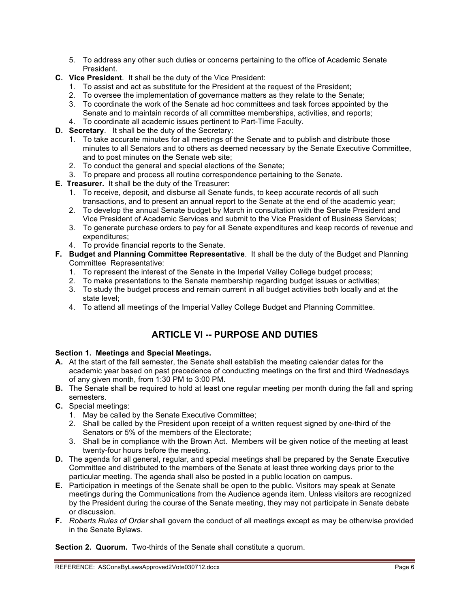- 5. To address any other such duties or concerns pertaining to the office of Academic Senate President.
- **C. Vice President**. It shall be the duty of the Vice President:
	- 1. To assist and act as substitute for the President at the request of the President;
	- 2. To oversee the implementation of governance matters as they relate to the Senate;
	- 3. To coordinate the work of the Senate ad hoc committees and task forces appointed by the Senate and to maintain records of all committee memberships, activities, and reports;
	- 4. To coordinate all academic issues pertinent to Part-Time Faculty.
- **D. Secretary**. It shall be the duty of the Secretary:
	- 1. To take accurate minutes for all meetings of the Senate and to publish and distribute those minutes to all Senators and to others as deemed necessary by the Senate Executive Committee, and to post minutes on the Senate web site;
	- 2. To conduct the general and special elections of the Senate;
	- 3. To prepare and process all routine correspondence pertaining to the Senate.
- **E. Treasurer.** It shall be the duty of the Treasurer:
	- 1. To receive, deposit, and disburse all Senate funds, to keep accurate records of all such transactions, and to present an annual report to the Senate at the end of the academic year;
	- 2. To develop the annual Senate budget by March in consultation with the Senate President and Vice President of Academic Services and submit to the Vice President of Business Services;
	- 3. To generate purchase orders to pay for all Senate expenditures and keep records of revenue and expenditures;
	- 4. To provide financial reports to the Senate.
- **F. Budget and Planning Committee Representative**. It shall be the duty of the Budget and Planning Committee Representative:
	- 1. To represent the interest of the Senate in the Imperial Valley College budget process;
	- 2. To make presentations to the Senate membership regarding budget issues or activities;
	- 3. To study the budget process and remain current in all budget activities both locally and at the state level;
	- 4. To attend all meetings of the Imperial Valley College Budget and Planning Committee.

## **ARTICLE VI -- PURPOSE AND DUTIES**

## **Section 1. Meetings and Special Meetings.**

- **A.** At the start of the fall semester, the Senate shall establish the meeting calendar dates for the academic year based on past precedence of conducting meetings on the first and third Wednesdays of any given month, from 1:30 PM to 3:00 PM.
- **B.** The Senate shall be required to hold at least one regular meeting per month during the fall and spring semesters.
- **C.** Special meetings:
	- 1. May be called by the Senate Executive Committee;
	- 2. Shall be called by the President upon receipt of a written request signed by one-third of the Senators or 5% of the members of the Electorate;
	- 3. Shall be in compliance with the Brown Act. Members will be given notice of the meeting at least twenty-four hours before the meeting.
- **D.** The agenda for all general, regular, and special meetings shall be prepared by the Senate Executive Committee and distributed to the members of the Senate at least three working days prior to the particular meeting. The agenda shall also be posted in a public location on campus.
- **E.** Participation in meetings of the Senate shall be open to the public. Visitors may speak at Senate meetings during the Communications from the Audience agenda item. Unless visitors are recognized by the President during the course of the Senate meeting, they may not participate in Senate debate or discussion.
- **F.** *Roberts Rules of Order* shall govern the conduct of all meetings except as may be otherwise provided in the Senate Bylaws.

**Section 2. Quorum.** Two-thirds of the Senate shall constitute a quorum.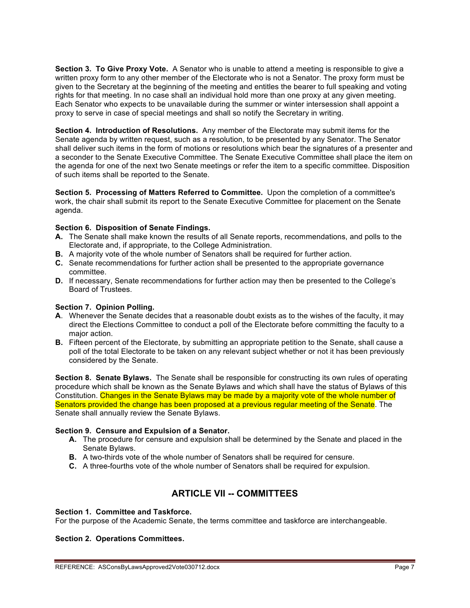**Section 3. To Give Proxy Vote.** A Senator who is unable to attend a meeting is responsible to give a written proxy form to any other member of the Electorate who is not a Senator. The proxy form must be given to the Secretary at the beginning of the meeting and entitles the bearer to full speaking and voting rights for that meeting. In no case shall an individual hold more than one proxy at any given meeting. Each Senator who expects to be unavailable during the summer or winter intersession shall appoint a proxy to serve in case of special meetings and shall so notify the Secretary in writing.

**Section 4. Introduction of Resolutions.** Any member of the Electorate may submit items for the Senate agenda by written request, such as a resolution, to be presented by any Senator. The Senator shall deliver such items in the form of motions or resolutions which bear the signatures of a presenter and a seconder to the Senate Executive Committee. The Senate Executive Committee shall place the item on the agenda for one of the next two Senate meetings or refer the item to a specific committee. Disposition of such items shall be reported to the Senate.

**Section 5. Processing of Matters Referred to Committee.** Upon the completion of a committee's work, the chair shall submit its report to the Senate Executive Committee for placement on the Senate agenda.

### **Section 6. Disposition of Senate Findings.**

- **A.** The Senate shall make known the results of all Senate reports, recommendations, and polls to the Electorate and, if appropriate, to the College Administration.
- **B.** A majority vote of the whole number of Senators shall be required for further action.
- **C.** Senate recommendations for further action shall be presented to the appropriate governance committee.
- **D.** If necessary, Senate recommendations for further action may then be presented to the College's Board of Trustees.

## **Section 7. Opinion Polling.**

- **A**. Whenever the Senate decides that a reasonable doubt exists as to the wishes of the faculty, it may direct the Elections Committee to conduct a poll of the Electorate before committing the faculty to a major action.
- **B.** Fifteen percent of the Electorate, by submitting an appropriate petition to the Senate, shall cause a poll of the total Electorate to be taken on any relevant subject whether or not it has been previously considered by the Senate.

**Section 8. Senate Bylaws.** The Senate shall be responsible for constructing its own rules of operating procedure which shall be known as the Senate Bylaws and which shall have the status of Bylaws of this Constitution. Changes in the Senate Bylaws may be made by a majority vote of the whole number of Senators provided the change has been proposed at a previous regular meeting of the Senate. The Senate shall annually review the Senate Bylaws.

#### **Section 9. Censure and Expulsion of a Senator.**

- **A.** The procedure for censure and expulsion shall be determined by the Senate and placed in the Senate Bylaws.
- **B.** A two-thirds vote of the whole number of Senators shall be required for censure.
- **C.** A three-fourths vote of the whole number of Senators shall be required for expulsion.

## **ARTICLE VII -- COMMITTEES**

#### **Section 1. Committee and Taskforce.**

For the purpose of the Academic Senate, the terms committee and taskforce are interchangeable.

## **Section 2. Operations Committees.**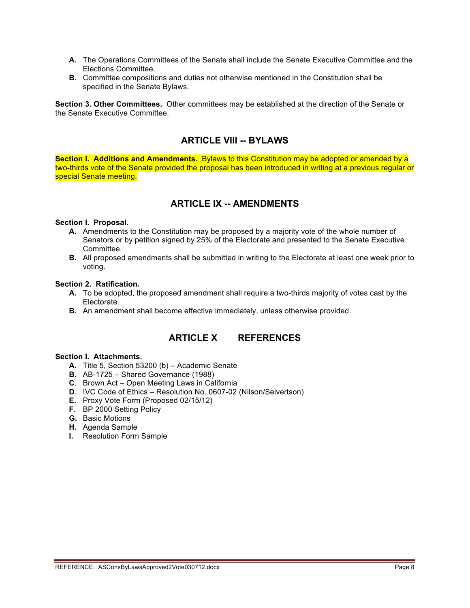- **A.** The Operations Committees of the Senate shall include the Senate Executive Committee and the Elections Committee.
- **B.** Committee compositions and duties not otherwise mentioned in the Constitution shall be specified in the Senate Bylaws.

**Section 3. Other Committees.** Other committees may be established at the direction of the Senate or the Senate Executive Committee.

## **ARTICLE VIII -- BYLAWS**

**Section l. Additions and Amendments.** Bylaws to this Constitution may be adopted or amended by a two-thirds vote of the Senate provided the proposal has been introduced in writing at a previous regular or special Senate meeting.

## **ARTICLE IX -- AMENDMENTS**

#### **Section l. Proposal.**

- **A.** Amendments to the Constitution may be proposed by a majority vote of the whole number of Senators or by petition signed by 25% of the Electorate and presented to the Senate Executive Committee.
- **B.** All proposed amendments shall be submitted in writing to the Electorate at least one week prior to voting.

#### **Section 2. Ratification.**

- **A.** To be adopted, the proposed amendment shall require a two-thirds majority of votes cast by the Electorate.
- **B.** An amendment shall become effective immediately, unless otherwise provided.

## **ARTICLE X REFERENCES**

### **Section I. Attachments.**

- **A.** Title 5, Section 53200 (b) Academic Senate
- **B.** AB-1725 Shared Governance (1988)
- **C**. Brown Act Open Meeting Laws in California
- **D**. IVC Code of Ethics Resolution No. 0607-02 (Nilson/Seivertson)
- **E.** Proxy Vote Form (Proposed 02/15/12)
- **F.** BP 2000 Setting Policy
- **G.** Basic Motions
- **H.** Agenda Sample
- **I.** Resolution Form Sample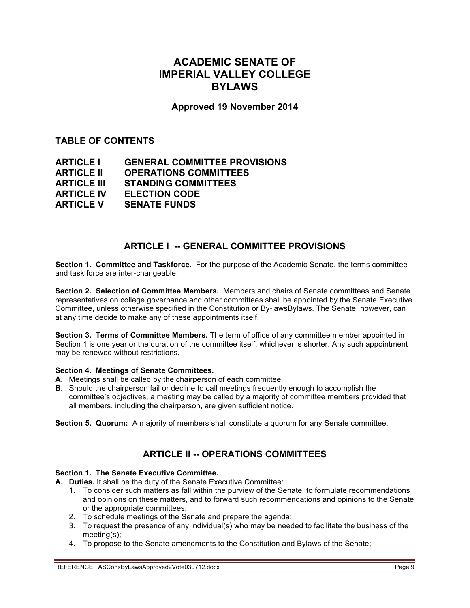## **ACADEMIC SENATE OF IMPERIAL VALLEY COLLEGE BYLAWS**

## **Approved 19 November 2014**

## **TABLE OF CONTENTS**

| <b>ARTICLE I</b>   | <b>GENERAL COMMITTEE PROVISIONS</b> |
|--------------------|-------------------------------------|
| <b>ARTICLE II</b>  | <b>OPERATIONS COMMITTEES</b>        |
| <b>ARTICLE III</b> | <b>STANDING COMMITTEES</b>          |
| <b>ARTICLE IV</b>  | <b>ELECTION CODE</b>                |
| <b>ARTICLE V</b>   | <b>SENATE FUNDS</b>                 |

## **ARTICLE I -- GENERAL COMMITTEE PROVISIONS**

**Section 1. Committee and Taskforce.** For the purpose of the Academic Senate, the terms committee and task force are inter-changeable.

**Section 2. Selection of Committee Members.** Members and chairs of Senate committees and Senate representatives on college governance and other committees shall be appointed by the Senate Executive Committee, unless otherwise specified in the Constitution or By-lawsBylaws. The Senate, however, can at any time decide to make any of these appointments itself.

**Section 3. Terms of Committee Members.** The term of office of any committee member appointed in Section 1 is one year or the duration of the committee itself, whichever is shorter. Any such appointment may be renewed without restrictions.

#### **Section 4. Meetings of Senate Committees.**

- **A.** Meetings shall be called by the chairperson of each committee.
- **B.** Should the chairperson fail or decline to call meetings frequently enough to accomplish the committee's objectives, a meeting may be called by a majority of committee members provided that all members, including the chairperson, are given sufficient notice.

**Section 5. Quorum:** A majority of members shall constitute a quorum for any Senate committee.

## **ARTICLE II -- OPERATIONS COMMITTEES**

### **Section 1. The Senate Executive Committee.**

**A. Duties.** It shall be the duty of the Senate Executive Committee:

- 1. To consider such matters as fall within the purview of the Senate, to formulate recommendations and opinions on these matters, and to forward such recommendations and opinions to the Senate or the appropriate committees;
- 2. To schedule meetings of the Senate and prepare the agenda;
- 3. To request the presence of any individual(s) who may be needed to facilitate the business of the meeting(s);
- 4. To propose to the Senate amendments to the Constitution and Bylaws of the Senate;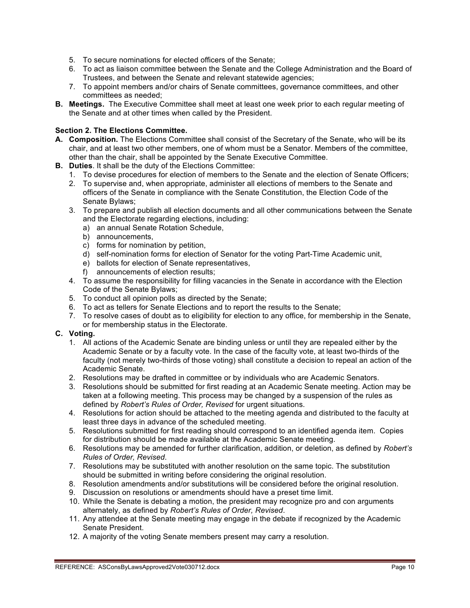- 5. To secure nominations for elected officers of the Senate;
- 6. To act as liaison committee between the Senate and the College Administration and the Board of Trustees, and between the Senate and relevant statewide agencies;
- 7. To appoint members and/or chairs of Senate committees, governance committees, and other committees as needed;
- **B. Meetings.** The Executive Committee shall meet at least one week prior to each regular meeting of the Senate and at other times when called by the President.

## **Section 2. The Elections Committee.**

- **A. Composition.** The Elections Committee shall consist of the Secretary of the Senate, who will be its chair, and at least two other members, one of whom must be a Senator. Members of the committee, other than the chair, shall be appointed by the Senate Executive Committee.
- **B. Duties**. It shall be the duty of the Elections Committee:
	- 1. To devise procedures for election of members to the Senate and the election of Senate Officers;
	- 2. To supervise and, when appropriate, administer all elections of members to the Senate and officers of the Senate in compliance with the Senate Constitution, the Election Code of the Senate Bylaws;
	- 3. To prepare and publish all election documents and all other communications between the Senate and the Electorate regarding elections, including:
		- a) an annual Senate Rotation Schedule,
		- b) announcements,
		- c) forms for nomination by petition,
		- d) self-nomination forms for election of Senator for the voting Part-Time Academic unit,
		- e) ballots for election of Senate representatives,
		- f) announcements of election results;
	- 4. To assume the responsibility for filling vacancies in the Senate in accordance with the Election Code of the Senate Bylaws;
	- 5. To conduct all opinion polls as directed by the Senate;
	- 6. To act as tellers for Senate Elections and to report the results to the Senate;
	- 7. To resolve cases of doubt as to eligibility for election to any office, for membership in the Senate, or for membership status in the Electorate.

## **C. Voting.**

- 1. All actions of the Academic Senate are binding unless or until they are repealed either by the Academic Senate or by a faculty vote. In the case of the faculty vote, at least two-thirds of the faculty (not merely two-thirds of those voting) shall constitute a decision to repeal an action of the Academic Senate.
- 2. Resolutions may be drafted in committee or by individuals who are Academic Senators.
- 3. Resolutions should be submitted for first reading at an Academic Senate meeting. Action may be taken at a following meeting. This process may be changed by a suspension of the rules as defined by *Robert's Rules of Order, Revised* for urgent situations.
- 4. Resolutions for action should be attached to the meeting agenda and distributed to the faculty at least three days in advance of the scheduled meeting.
- 5. Resolutions submitted for first reading should correspond to an identified agenda item. Copies for distribution should be made available at the Academic Senate meeting.
- 6. Resolutions may be amended for further clarification, addition, or deletion, as defined by *Robert's Rules of Order, Revised*.
- 7. Resolutions may be substituted with another resolution on the same topic. The substitution should be submitted in writing before considering the original resolution.
- 8. Resolution amendments and/or substitutions will be considered before the original resolution.
- 9. Discussion on resolutions or amendments should have a preset time limit.
- 10. While the Senate is debating a motion, the president may recognize pro and con arguments alternately, as defined by *Robert's Rules of Order, Revised*.
- 11. Any attendee at the Senate meeting may engage in the debate if recognized by the Academic Senate President.
- 12. A majority of the voting Senate members present may carry a resolution.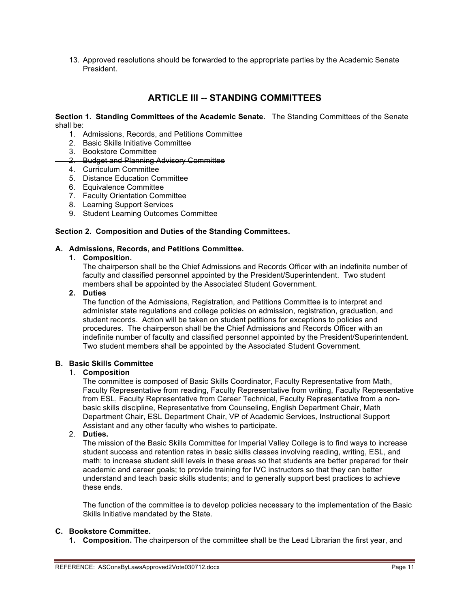13. Approved resolutions should be forwarded to the appropriate parties by the Academic Senate President.

## **ARTICLE III -- STANDING COMMITTEES**

**Section 1. Standing Committees of the Academic Senate.** The Standing Committees of the Senate shall be:

- 1. Admissions, Records, and Petitions Committee
- 2. Basic Skills Initiative Committee
- 3. Bookstore Committee
- 2. Budget and Planning Advisory Committee
- 4. Curriculum Committee
- 5. Distance Education Committee
- 6. Equivalence Committee
- 7. Faculty Orientation Committee
- 8. Learning Support Services
- 9. Student Learning Outcomes Committee

#### **Section 2. Composition and Duties of the Standing Committees.**

#### **A. Admissions, Records, and Petitions Committee.**

#### **1. Composition.**

The chairperson shall be the Chief Admissions and Records Officer with an indefinite number of faculty and classified personnel appointed by the President/Superintendent. Two student members shall be appointed by the Associated Student Government.

#### **2. Duties**

The function of the Admissions, Registration, and Petitions Committee is to interpret and administer state regulations and college policies on admission, registration, graduation, and student records. Action will be taken on student petitions for exceptions to policies and procedures. The chairperson shall be the Chief Admissions and Records Officer with an indefinite number of faculty and classified personnel appointed by the President/Superintendent. Two student members shall be appointed by the Associated Student Government.

## **B. Basic Skills Committee**

#### 1. **Composition**

The committee is composed of Basic Skills Coordinator, Faculty Representative from Math, Faculty Representative from reading, Faculty Representative from writing, Faculty Representative from ESL, Faculty Representative from Career Technical, Faculty Representative from a nonbasic skills discipline, Representative from Counseling, English Department Chair, Math Department Chair, ESL Department Chair, VP of Academic Services, Instructional Support Assistant and any other faculty who wishes to participate.

#### 2. **Duties.**

The mission of the Basic Skills Committee for Imperial Valley College is to find ways to increase student success and retention rates in basic skills classes involving reading, writing, ESL, and math; to increase student skill levels in these areas so that students are better prepared for their academic and career goals; to provide training for IVC instructors so that they can better understand and teach basic skills students; and to generally support best practices to achieve these ends.

The function of the committee is to develop policies necessary to the implementation of the Basic Skills Initiative mandated by the State.

### **C. Bookstore Committee.**

**1. Composition.** The chairperson of the committee shall be the Lead Librarian the first year, and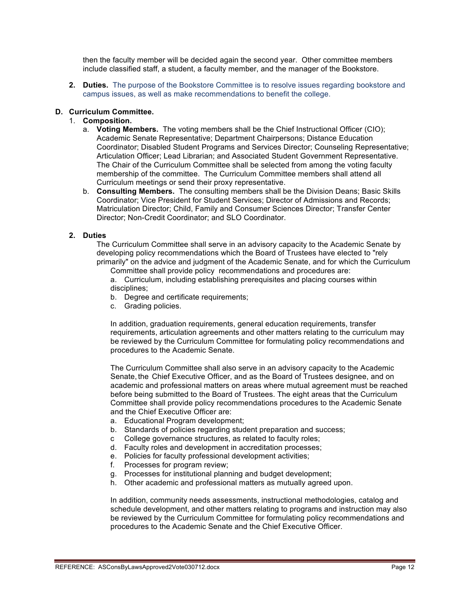then the faculty member will be decided again the second year. Other committee members include classified staff, a student, a faculty member, and the manager of the Bookstore.

**2. Duties.** The purpose of the Bookstore Committee is to resolve issues regarding bookstore and campus issues, as well as make recommendations to benefit the college.

### **D. Curriculum Committee.**

## 1. **Composition.**

- a. **Voting Members.** The voting members shall be the Chief Instructional Officer (CIO); Academic Senate Representative; Department Chairpersons; Distance Education Coordinator; Disabled Student Programs and Services Director; Counseling Representative; Articulation Officer; Lead Librarian; and Associated Student Government Representative. The Chair of the Curriculum Committee shall be selected from among the voting faculty membership of the committee. The Curriculum Committee members shall attend all Curriculum meetings or send their proxy representative.
- b. **Consulting Members.** The consulting members shall be the Division Deans; Basic Skills Coordinator; Vice President for Student Services; Director of Admissions and Records; Matriculation Director; Child, Family and Consumer Sciences Director; Transfer Center Director; Non-Credit Coordinator; and SLO Coordinator.

### **2. Duties**

The Curriculum Committee shall serve in an advisory capacity to the Academic Senate by developing policy recommendations which the Board of Trustees have elected to "rely primarily" on the advice and judgment of the Academic Senate, and for which the Curriculum

Committee shall provide policy recommendations and procedures are: a. Curriculum, including establishing prerequisites and placing courses within disciplines;

- b. Degree and certificate requirements;
- c. Grading policies.

In addition, graduation requirements, general education requirements, transfer requirements, articulation agreements and other matters relating to the curriculum may be reviewed by the Curriculum Committee for formulating policy recommendations and procedures to the Academic Senate.

The Curriculum Committee shall also serve in an advisory capacity to the Academic Senate, the Chief Executive Officer, and as the Board of Trustees designee, and on academic and professional matters on areas where mutual agreement must be reached before being submitted to the Board of Trustees. The eight areas that the Curriculum Committee shall provide policy recommendations procedures to the Academic Senate and the Chief Executive Officer are:

- a. Educational Program development;
- b. Standards of policies regarding student preparation and success;
- c College governance structures, as related to faculty roles;
- d. Faculty roles and development in accreditation processes;
- e. Policies for faculty professional development activities;
- f. Processes for program review;
- g. Processes for institutional planning and budget development;
- h. Other academic and professional matters as mutually agreed upon.

In addition, community needs assessments, instructional methodologies, catalog and schedule development, and other matters relating to programs and instruction may also be reviewed by the Curriculum Committee for formulating policy recommendations and procedures to the Academic Senate and the Chief Executive Officer.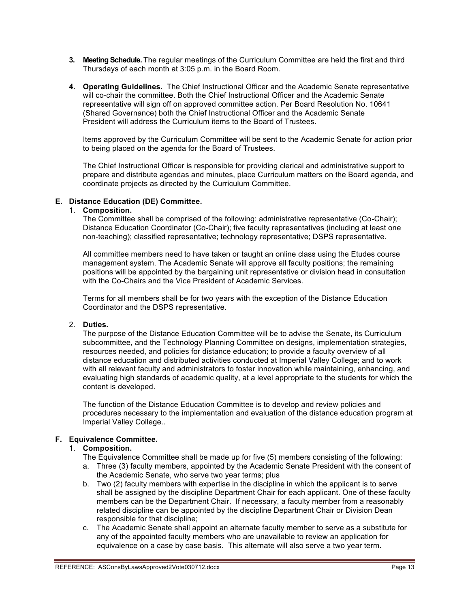- **3. Meeting Schedule.** The regular meetings of the Curriculum Committee are held the first and third Thursdays of each month at 3:05 p.m. in the Board Room.
- **4. Operating Guidelines.** The Chief Instructional Officer and the Academic Senate representative will co-chair the committee. Both the Chief Instructional Officer and the Academic Senate representative will sign off on approved committee action. Per Board Resolution No. 10641 (Shared Governance) both the Chief Instructional Officer and the Academic Senate President will address the Curriculum items to the Board of Trustees.

Items approved by the Curriculum Committee will be sent to the Academic Senate for action prior to being placed on the agenda for the Board of Trustees.

The Chief Instructional Officer is responsible for providing clerical and administrative support to prepare and distribute agendas and minutes, place Curriculum matters on the Board agenda, and coordinate projects as directed by the Curriculum Committee.

#### **E. Distance Education (DE) Committee.**

#### 1. **Composition.**

The Committee shall be comprised of the following: administrative representative (Co-Chair); Distance Education Coordinator (Co-Chair); five faculty representatives (including at least one non-teaching); classified representative; technology representative; DSPS representative.

All committee members need to have taken or taught an online class using the Etudes course management system. The Academic Senate will approve all faculty positions; the remaining positions will be appointed by the bargaining unit representative or division head in consultation with the Co-Chairs and the Vice President of Academic Services.

Terms for all members shall be for two years with the exception of the Distance Education Coordinator and the DSPS representative.

### 2. **Duties.**

The purpose of the Distance Education Committee will be to advise the Senate, its Curriculum subcommittee, and the Technology Planning Committee on designs, implementation strategies, resources needed, and policies for distance education; to provide a faculty overview of all distance education and distributed activities conducted at Imperial Valley College; and to work with all relevant faculty and administrators to foster innovation while maintaining, enhancing, and evaluating high standards of academic quality, at a level appropriate to the students for which the content is developed.

The function of the Distance Education Committee is to develop and review policies and procedures necessary to the implementation and evaluation of the distance education program at Imperial Valley College..

#### **F. Equivalence Committee.**

### 1. **Composition.**

The Equivalence Committee shall be made up for five (5) members consisting of the following:

- a. Three (3) faculty members, appointed by the Academic Senate President with the consent of the Academic Senate, who serve two year terms; plus
- b. Two (2) faculty members with expertise in the discipline in which the applicant is to serve shall be assigned by the discipline Department Chair for each applicant. One of these faculty members can be the Department Chair. If necessary, a faculty member from a reasonably related discipline can be appointed by the discipline Department Chair or Division Dean responsible for that discipline;
- c. The Academic Senate shall appoint an alternate faculty member to serve as a substitute for any of the appointed faculty members who are unavailable to review an application for equivalence on a case by case basis. This alternate will also serve a two year term.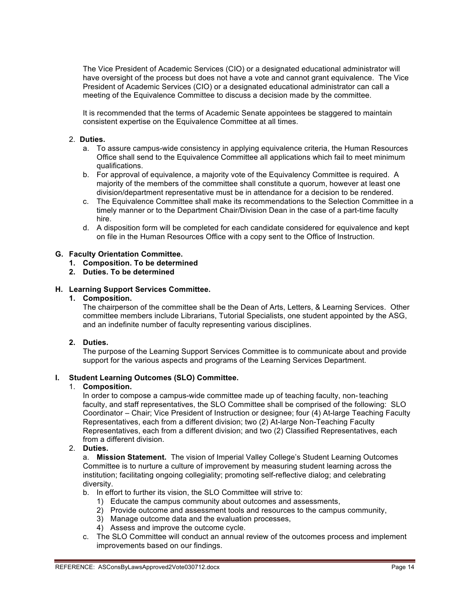The Vice President of Academic Services (CIO) or a designated educational administrator will have oversight of the process but does not have a vote and cannot grant equivalence. The Vice President of Academic Services (CIO) or a designated educational administrator can call a meeting of the Equivalence Committee to discuss a decision made by the committee.

It is recommended that the terms of Academic Senate appointees be staggered to maintain consistent expertise on the Equivalence Committee at all times.

### 2. **Duties.**

- a. To assure campus-wide consistency in applying equivalence criteria, the Human Resources Office shall send to the Equivalence Committee all applications which fail to meet minimum qualifications.
- b. For approval of equivalence, a majority vote of the Equivalency Committee is required. A majority of the members of the committee shall constitute a quorum, however at least one division/department representative must be in attendance for a decision to be rendered.
- c. The Equivalence Committee shall make its recommendations to the Selection Committee in a timely manner or to the Department Chair/Division Dean in the case of a part-time faculty hire.
- d. A disposition form will be completed for each candidate considered for equivalence and kept on file in the Human Resources Office with a copy sent to the Office of Instruction.

### **G. Faculty Orientation Committee.**

- **1. Composition. To be determined**
- **2. Duties. To be determined**

### **H. Learning Support Services Committee.**

**1. Composition.**

The chairperson of the committee shall be the Dean of Arts, Letters, & Learning Services. Other committee members include Librarians, Tutorial Specialists, one student appointed by the ASG, and an indefinite number of faculty representing various disciplines.

#### **2. Duties.**

The purpose of the Learning Support Services Committee is to communicate about and provide support for the various aspects and programs of the Learning Services Department.

#### **I. Student Learning Outcomes (SLO) Committee.**

#### 1. **Composition.**

In order to compose a campus-wide committee made up of teaching faculty, non-teaching faculty, and staff representatives, the SLO Committee shall be comprised of the following: SLO Coordinator – Chair; Vice President of Instruction or designee; four (4) At-large Teaching Faculty Representatives, each from a different division; two (2) At-large Non-Teaching Faculty Representatives, each from a different division; and two (2) Classified Representatives, each from a different division.

#### 2. **Duties.**

a. **Mission Statement.** The vision of Imperial Valley College's Student Learning Outcomes Committee is to nurture a culture of improvement by measuring student learning across the institution; facilitating ongoing collegiality; promoting self-reflective dialog; and celebrating diversity.

- b. In effort to further its vision, the SLO Committee will strive to:
	- 1) Educate the campus community about outcomes and assessments,
	- 2) Provide outcome and assessment tools and resources to the campus community,
	- 3) Manage outcome data and the evaluation processes,
	- 4) Assess and improve the outcome cycle.
- c. The SLO Committee will conduct an annual review of the outcomes process and implement improvements based on our findings.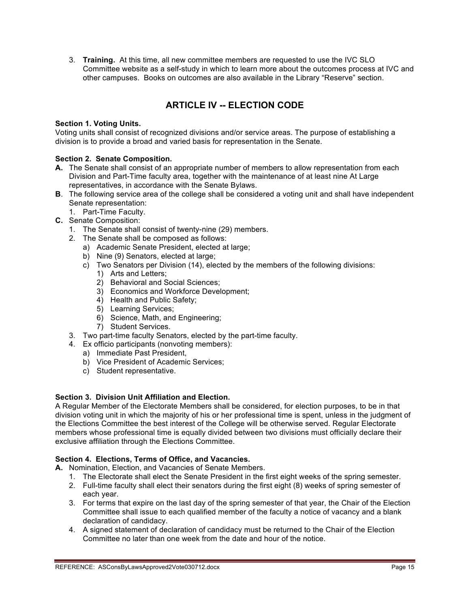3. **Training.** At this time, all new committee members are requested to use the IVC SLO Committee website as a self-study in which to learn more about the outcomes process at IVC and other campuses. Books on outcomes are also available in the Library "Reserve" section.

## **ARTICLE IV -- ELECTION CODE**

### **Section 1. Voting Units.**

Voting units shall consist of recognized divisions and/or service areas. The purpose of establishing a division is to provide a broad and varied basis for representation in the Senate.

### **Section 2. Senate Composition.**

- **A.** The Senate shall consist of an appropriate number of members to allow representation from each Division and Part-Time faculty area, together with the maintenance of at least nine At Large representatives, in accordance with the Senate Bylaws.
- **B**. The following service area of the college shall be considered a voting unit and shall have independent Senate representation:
	- 1. Part-Time Faculty.
- **C.** Senate Composition:
	- 1. The Senate shall consist of twenty-nine (29) members.
	- 2. The Senate shall be composed as follows:
		- a) Academic Senate President, elected at large:
		- b) Nine (9) Senators, elected at large;
		- c) Two Senators per Division (14), elected by the members of the following divisions:
			- 1) Arts and Letters;
			- 2) Behavioral and Social Sciences;
			- 3) Economics and Workforce Development;
			- 4) Health and Public Safety;
			- 5) Learning Services;
			- 6) Science, Math, and Engineering;
			- 7) Student Services.
	- 3. Two part-time faculty Senators, elected by the part-time faculty.
	- 4. Ex officio participants (nonvoting members):
		- a) Immediate Past President,
		- b) Vice President of Academic Services;
		- c) Student representative.

## **Section 3. Division Unit Affiliation and Election.**

A Regular Member of the Electorate Members shall be considered, for election purposes, to be in that division voting unit in which the majority of his or her professional time is spent, unless in the judgment of the Elections Committee the best interest of the College will be otherwise served. Regular Electorate members whose professional time is equally divided between two divisions must officially declare their exclusive affiliation through the Elections Committee.

#### **Section 4. Elections, Terms of Office, and Vacancies.**

- **A.** Nomination, Election, and Vacancies of Senate Members.
	- 1. The Electorate shall elect the Senate President in the first eight weeks of the spring semester.
		- 2. Full-time faculty shall elect their senators during the first eight (8) weeks of spring semester of each year.
		- 3. For terms that expire on the last day of the spring semester of that year, the Chair of the Election Committee shall issue to each qualified member of the faculty a notice of vacancy and a blank declaration of candidacy.
		- 4. A signed statement of declaration of candidacy must be returned to the Chair of the Election Committee no later than one week from the date and hour of the notice.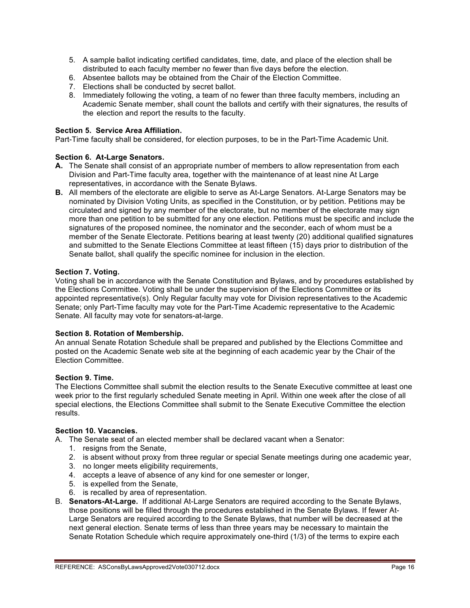- 5. A sample ballot indicating certified candidates, time, date, and place of the election shall be distributed to each faculty member no fewer than five days before the election.
- 6. Absentee ballots may be obtained from the Chair of the Election Committee.
- 7. Elections shall be conducted by secret ballot.
- 8. Immediately following the voting, a team of no fewer than three faculty members, including an Academic Senate member, shall count the ballots and certify with their signatures, the results of the election and report the results to the faculty.

#### **Section 5. Service Area Affiliation.**

Part-Time faculty shall be considered, for election purposes, to be in the Part-Time Academic Unit.

#### **Section 6. At-Large Senators.**

- **A.** The Senate shall consist of an appropriate number of members to allow representation from each Division and Part-Time faculty area, together with the maintenance of at least nine At Large representatives, in accordance with the Senate Bylaws.
- **B.** All members of the electorate are eligible to serve as At-Large Senators. At-Large Senators may be nominated by Division Voting Units, as specified in the Constitution, or by petition. Petitions may be circulated and signed by any member of the electorate, but no member of the electorate may sign more than one petition to be submitted for any one election. Petitions must be specific and include the signatures of the proposed nominee, the nominator and the seconder, each of whom must be a member of the Senate Electorate. Petitions bearing at least twenty (20) additional qualified signatures and submitted to the Senate Elections Committee at least fifteen (15) days prior to distribution of the Senate ballot, shall qualify the specific nominee for inclusion in the election.

#### **Section 7. Voting.**

Voting shall be in accordance with the Senate Constitution and Bylaws, and by procedures established by the Elections Committee. Voting shall be under the supervision of the Elections Committee or its appointed representative(s). Only Regular faculty may vote for Division representatives to the Academic Senate; only Part-Time faculty may vote for the Part-Time Academic representative to the Academic Senate. All faculty may vote for senators-at-large.

#### **Section 8. Rotation of Membership.**

An annual Senate Rotation Schedule shall be prepared and published by the Elections Committee and posted on the Academic Senate web site at the beginning of each academic year by the Chair of the Election Committee.

#### **Section 9. Time.**

The Elections Committee shall submit the election results to the Senate Executive committee at least one week prior to the first regularly scheduled Senate meeting in April. Within one week after the close of all special elections, the Elections Committee shall submit to the Senate Executive Committee the election results.

## **Section 10. Vacancies.**

A. The Senate seat of an elected member shall be declared vacant when a Senator:

- 1. resigns from the Senate,
- 2. is absent without proxy from three regular or special Senate meetings during one academic year,
- 3. no longer meets eligibility requirements,
- 4. accepts a leave of absence of any kind for one semester or longer,
- 5. is expelled from the Senate,
- 6. is recalled by area of representation.
- B. **Senators-At-Large.** If additional At-Large Senators are required according to the Senate Bylaws, those positions will be filled through the procedures established in the Senate Bylaws. If fewer At-Large Senators are required according to the Senate Bylaws, that number will be decreased at the next general election. Senate terms of less than three years may be necessary to maintain the Senate Rotation Schedule which require approximately one-third (1/3) of the terms to expire each